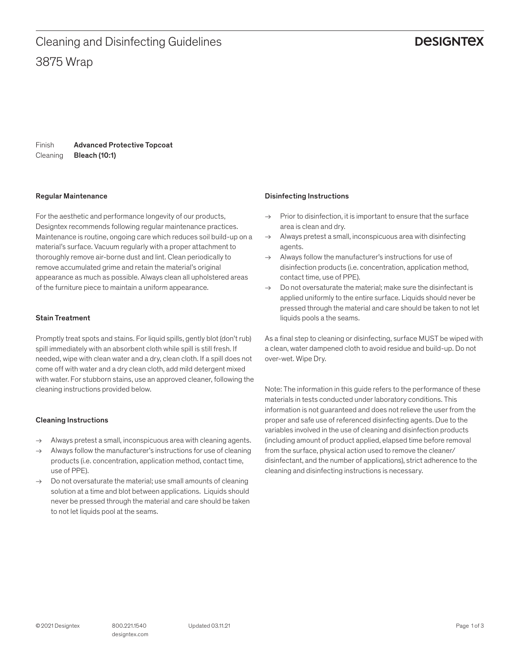# **DESIGNTEX**

Finish Cleaning Advanced Protective Topcoat Bleach (10:1)

#### Regular Maintenance

For the aesthetic and performance longevity of our products, Designtex recommends following regular maintenance practices. Maintenance is routine, ongoing care which reduces soil build-up on a material's surface. Vacuum regularly with a proper attachment to thoroughly remove air-borne dust and lint. Clean periodically to remove accumulated grime and retain the material's original appearance as much as possible. Always clean all upholstered areas of the furniture piece to maintain a uniform appearance.

#### Stain Treatment

Promptly treat spots and stains. For liquid spills, gently blot (don't rub) spill immediately with an absorbent cloth while spill is still fresh. If needed, wipe with clean water and a dry, clean cloth. If a spill does not come off with water and a dry clean cloth, add mild detergent mixed with water. For stubborn stains, use an approved cleaner, following the cleaning instructions provided below.

## Cleaning Instructions

- $\rightarrow$  Always pretest a small, inconspicuous area with cleaning agents.
- $\rightarrow$  Always follow the manufacturer's instructions for use of cleaning products (i.e. concentration, application method, contact time, use of PPE).
- $\rightarrow$  Do not oversaturate the material; use small amounts of cleaning solution at a time and blot between applications. Liquids should never be pressed through the material and care should be taken to not let liquids pool at the seams.

#### Disinfecting Instructions

- $\rightarrow$  Prior to disinfection, it is important to ensure that the surface area is clean and dry.
- $\rightarrow$  Always pretest a small, inconspicuous area with disinfecting agents.
- $\rightarrow$  Always follow the manufacturer's instructions for use of disinfection products (i.e. concentration, application method, contact time, use of PPE).
- $\rightarrow$  Do not oversaturate the material: make sure the disinfectant is applied uniformly to the entire surface. Liquids should never be pressed through the material and care should be taken to not let liquids pools a the seams.

As a final step to cleaning or disinfecting, surface MUST be wiped with a clean, water dampened cloth to avoid residue and build-up. Do not over-wet. Wipe Dry.

Note: The information in this guide refers to the performance of these materials in tests conducted under laboratory conditions. This information is not guaranteed and does not relieve the user from the proper and safe use of referenced disinfecting agents. Due to the variables involved in the use of cleaning and disinfection products (including amount of product applied, elapsed time before removal from the surface, physical action used to remove the cleaner/ disinfectant, and the number of applications), strict adherence to the cleaning and disinfecting instructions is necessary.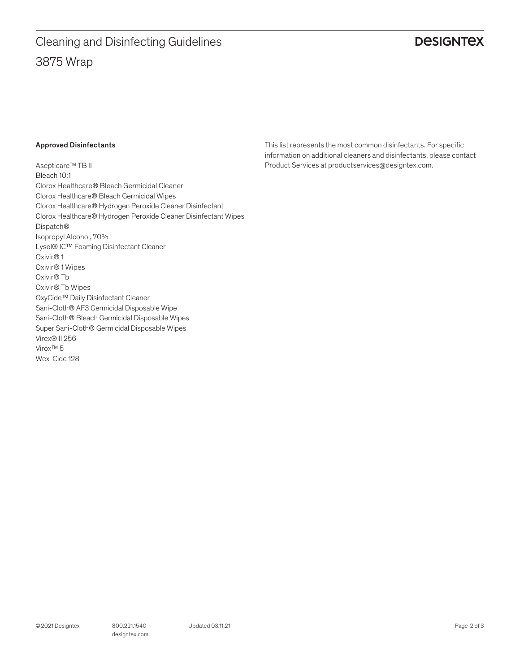# 3875 Wrap Cleaning and Disinfecting Guidelines

# **DESIGNTEX**

## Approved Disinfectants

Asepticare™ TB II Bleach 10:1 Clorox Healthcare® Bleach Germicidal Cleaner Clorox Healthcare® Bleach Germicidal Wipes Clorox Healthcare® Hydrogen Peroxide Cleaner Disinfectant Clorox Healthcare® Hydrogen Peroxide Cleaner Disinfectant Wipes Dispatch® Isopropyl Alcohol, 70% Lysol® IC™ Foaming Disinfectant Cleaner Oxivir® 1 Oxivir® 1 Wipes Oxivir® Tb Oxivir® Tb Wipes OxyCide™ Daily Disinfectant Cleaner Sani-Cloth® AF3 Germicidal Disposable Wipe Sani-Cloth® Bleach Germicidal Disposable Wipes Super Sani-Cloth® Germicidal Disposable Wipes Virex® II 256 Virox™ 5 Wex-Cide 128

This list represents the most common disinfectants. For specific information on additional cleaners and disinfectants, please contact Product Services at productservices@designtex.com.